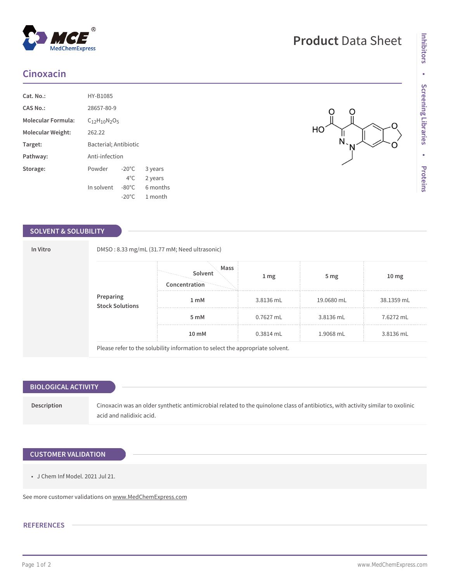# **Cinoxacin**

| Cat. No.:                 | HY-B1085              |                 |          |  |
|---------------------------|-----------------------|-----------------|----------|--|
| <b>CAS No.:</b>           | 28657-80-9            |                 |          |  |
| <b>Molecular Formula:</b> | $C_{12}H_{10}N_2O_5$  |                 |          |  |
| Molecular Weight:         | 262.22                |                 |          |  |
| Target:                   | Bacterial; Antibiotic |                 |          |  |
| Pathway:                  |                       | Anti-infection  |          |  |
| Storage:                  | Powder                | $-20^{\circ}$ C | 3 years  |  |
|                           |                       | $4^{\circ}$ C.  | 2 years  |  |
|                           | In solvent            | $-80^{\circ}$ C | 6 months |  |
|                           |                       | $-20^{\circ}$ C | 1 month  |  |

#### **SOLVENT & SOLUBILITY**

|  | <b>Preparing<br/>Stock Solutions</b> | Mass<br>Solvent  | 1 <sub>mg</sub> | 5 <sub>mg</sub> | 10 <sub>mg</sub> |
|--|--------------------------------------|------------------|-----------------|-----------------|------------------|
|  |                                      | Concentration    |                 |                 |                  |
|  |                                      | 1 <sub>m</sub> M | 3.8136 mL       | 19.0680 mL      | 38.1359 mL       |
|  |                                      | 5 mM             | 0.7627 mL       | 3.8136 mL       | 7.6272 mL        |
|  |                                      | 10 mM            | $0.3814$ mL     | 1.9068 mL       | 3.8136 mL        |

## **BIOLOGICAL ACTIVITY**

**Description** Cinoxacin was an older synthetic antimicrobial related to the quinolone class of antibiotics, with activity similar to oxolinic acid and nalidixic acid.

# **CUSTOMER VALIDATION**

• J Chem Inf Model. 2021 Jul 21.

See more customer validations on<www.MedChemExpress.com>

## **REFERENCES**

O

 $\begin{matrix} & \searrow \\ & \searrow \\ & \searrow \end{matrix}$ 

 $\Omega$ 

 $HO<sup>2</sup>$